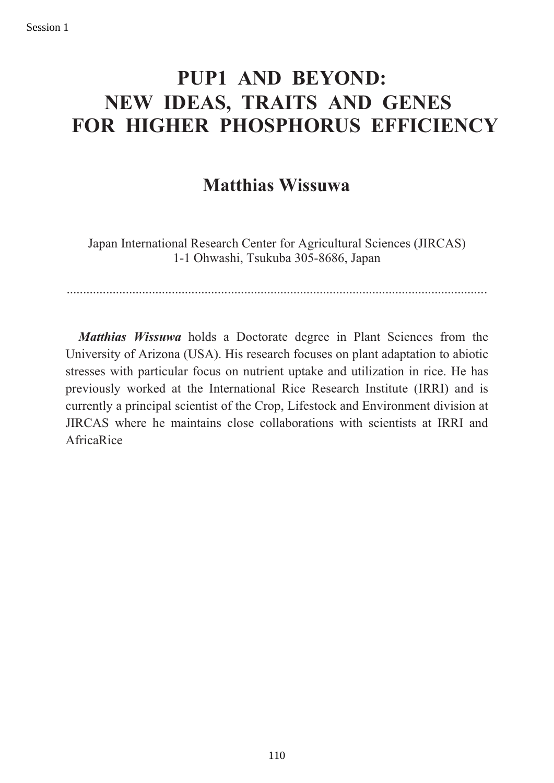## **PUP1 AND BEYOND: NEW IDEAS, TRAITS AND GENES FOR HIGHER PHOSPHORUS EFFICIENCY**

### **Matthias Wissuwa**

Japan International Research Center for Agricultural Sciences (JIRCAS) 1-1 Ohwashi, Tsukuba 305-8686, Japan

................................................................................................................................

*Matthias Wissuwa* holds a Doctorate degree in Plant Sciences from the University of Arizona (USA). His research focuses on plant adaptation to abiotic stresses with particular focus on nutrient uptake and utilization in rice. He has previously worked at the International Rice Research Institute (IRRI) and is currently a principal scientist of the Crop, Lifestock and Environment division at JIRCAS where he maintains close collaborations with scientists at IRRI and AfricaRice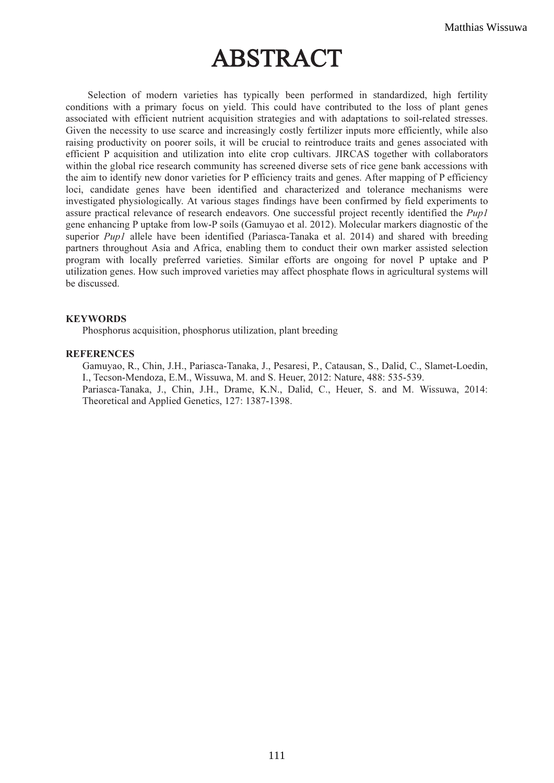# ABSTRACT

 Selection of modern varieties has typically been performed in standardized, high fertility conditions with a primary focus on yield. This could have contributed to the loss of plant genes associated with efficient nutrient acquisition strategies and with adaptations to soil-related stresses. Given the necessity to use scarce and increasingly costly fertilizer inputs more efficiently, while also raising productivity on poorer soils, it will be crucial to reintroduce traits and genes associated with efficient P acquisition and utilization into elite crop cultivars. JIRCAS together with collaborators within the global rice research community has screened diverse sets of rice gene bank accessions with the aim to identify new donor varieties for P efficiency traits and genes. After mapping of P efficiency loci, candidate genes have been identified and characterized and tolerance mechanisms were investigated physiologically. At various stages findings have been confirmed by field experiments to assure practical relevance of research endeavors. One successful project recently identified the Pup1 gene enhancing P uptake from low-P soils (Gamuyao et al. 2012). Molecular markers diagnostic of the superior *Pup1* allele have been identified (Pariasca-Tanaka et al. 2014) and shared with breeding partners throughout Asia and Africa, enabling them to conduct their own marker assisted selection program with locally preferred varieties. Similar efforts are ongoing for novel P uptake and P utilization genes. How such improved varieties may affect phosphate flows in agricultural systems will be discussed.

#### **KEYWORDS**

Phosphorus acquisition, phosphorus utilization, plant breeding

#### **REFERENCES**

Gamuyao, R., Chin, J.H., Pariasca-Tanaka, J., Pesaresi, P., Catausan, S., Dalid, C., Slamet-Loedin, I., Tecson-Mendoza, E.M., Wissuwa, M. and S. Heuer, 2012: Nature, 488: 535-539. Pariasca-Tanaka, J., Chin, J.H., Drame, K.N., Dalid, C., Heuer, S. and M. Wissuwa, 2014: Theoretical and Applied Genetics, 127: 1387-1398.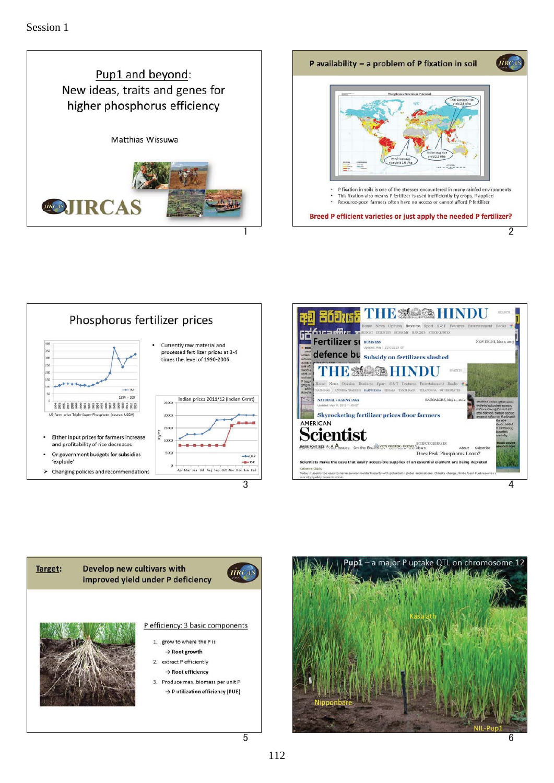











 $\overline{5}$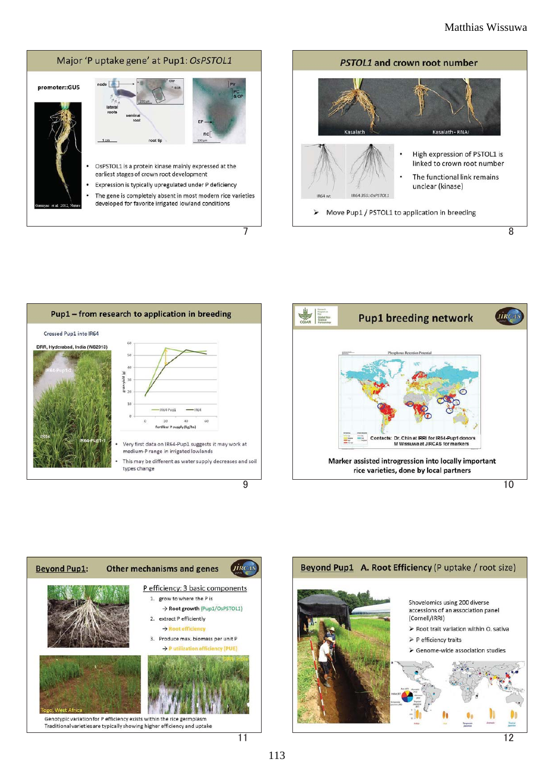











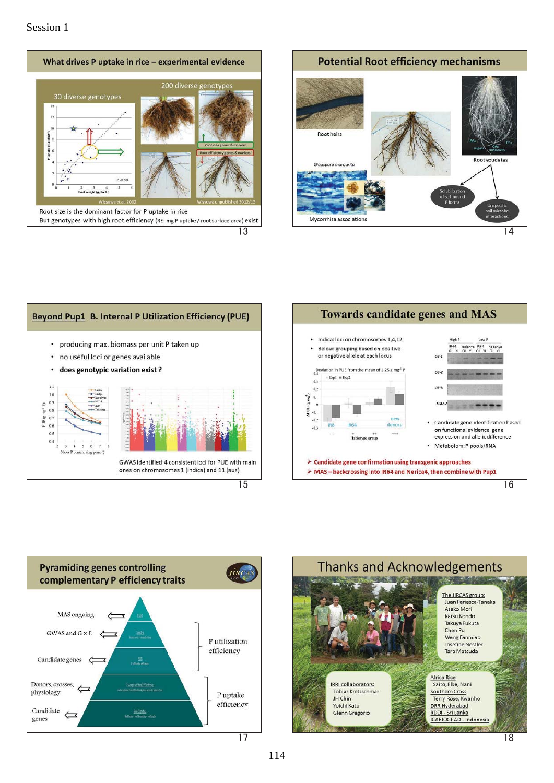#### Session 1











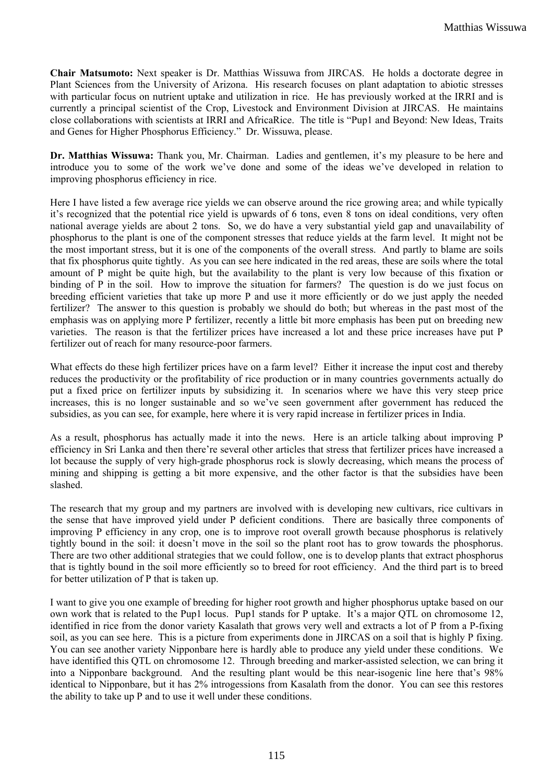**Chair Matsumoto:** Next speaker is Dr. Matthias Wissuwa from JIRCAS. He holds a doctorate degree in Plant Sciences from the University of Arizona. His research focuses on plant adaptation to abiotic stresses with particular focus on nutrient uptake and utilization in rice. He has previously worked at the IRRI and is currently a principal scientist of the Crop, Livestock and Environment Division at JIRCAS. He maintains close collaborations with scientists at IRRI and AfricaRice. The title is "Pup1 and Beyond: New Ideas, Traits and Genes for Higher Phosphorus Efficiency." Dr. Wissuwa, please.

**Dr. Matthias Wissuwa:** Thank you, Mr. Chairman. Ladies and gentlemen, it's my pleasure to be here and introduce you to some of the work we've done and some of the ideas we've developed in relation to improving phosphorus efficiency in rice.

Here I have listed a few average rice yields we can observe around the rice growing area; and while typically it's recognized that the potential rice yield is upwards of 6 tons, even 8 tons on ideal conditions, very often national average yields are about 2 tons. So, we do have a very substantial yield gap and unavailability of phosphorus to the plant is one of the component stresses that reduce yields at the farm level. It might not be the most important stress, but it is one of the components of the overall stress. And partly to blame are soils that fix phosphorus quite tightly. As you can see here indicated in the red areas, these are soils where the total amount of P might be quite high, but the availability to the plant is very low because of this fixation or binding of P in the soil. How to improve the situation for farmers? The question is do we just focus on breeding efficient varieties that take up more P and use it more efficiently or do we just apply the needed fertilizer? The answer to this question is probably we should do both; but whereas in the past most of the emphasis was on applying more P fertilizer, recently a little bit more emphasis has been put on breeding new varieties. The reason is that the fertilizer prices have increased a lot and these price increases have put P fertilizer out of reach for many resource-poor farmers.

What effects do these high fertilizer prices have on a farm level? Either it increase the input cost and thereby reduces the productivity or the profitability of rice production or in many countries governments actually do put a fixed price on fertilizer inputs by subsidizing it. In scenarios where we have this very steep price increases, this is no longer sustainable and so we've seen government after government has reduced the subsidies, as you can see, for example, here where it is very rapid increase in fertilizer prices in India.

As a result, phosphorus has actually made it into the news. Here is an article talking about improving P efficiency in Sri Lanka and then there're several other articles that stress that fertilizer prices have increased a lot because the supply of very high-grade phosphorus rock is slowly decreasing, which means the process of mining and shipping is getting a bit more expensive, and the other factor is that the subsidies have been slashed.

The research that my group and my partners are involved with is developing new cultivars, rice cultivars in the sense that have improved yield under P deficient conditions. There are basically three components of improving P efficiency in any crop, one is to improve root overall growth because phosphorus is relatively tightly bound in the soil: it doesn't move in the soil so the plant root has to grow towards the phosphorus. There are two other additional strategies that we could follow, one is to develop plants that extract phosphorus that is tightly bound in the soil more efficiently so to breed for root efficiency. And the third part is to breed for better utilization of P that is taken up.

I want to give you one example of breeding for higher root growth and higher phosphorus uptake based on our own work that is related to the Pup1 locus. Pup1 stands for P uptake. It's a major QTL on chromosome 12, identified in rice from the donor variety Kasalath that grows very well and extracts a lot of P from a P-fixing soil, as you can see here. This is a picture from experiments done in JIRCAS on a soil that is highly P fixing. You can see another variety Nipponbare here is hardly able to produce any yield under these conditions. We have identified this QTL on chromosome 12. Through breeding and marker-assisted selection, we can bring it into a Nipponbare background. And the resulting plant would be this near-isogenic line here that's 98% identical to Nipponbare, but it has 2% introgessions from Kasalath from the donor. You can see this restores the ability to take up P and to use it well under these conditions.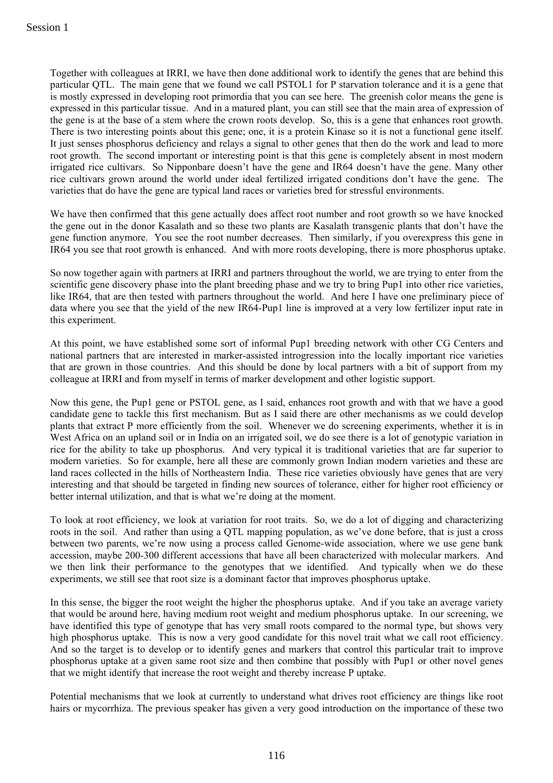Together with colleagues at IRRI, we have then done additional work to identify the genes that are behind this particular QTL. The main gene that we found we call PSTOL1 for P starvation tolerance and it is a gene that is mostly expressed in developing root primordia that you can see here. The greenish color means the gene is expressed in this particular tissue. And in a matured plant, you can still see that the main area of expression of the gene is at the base of a stem where the crown roots develop. So, this is a gene that enhances root growth. There is two interesting points about this gene; one, it is a protein Kinase so it is not a functional gene itself. It just senses phosphorus deficiency and relays a signal to other genes that then do the work and lead to more root growth. The second important or interesting point is that this gene is completely absent in most modern irrigated rice cultivars. So Nipponbare doesn't have the gene and IR64 doesn't have the gene. Many other rice cultivars grown around the world under ideal fertilized irrigated conditions don't have the gene. The varieties that do have the gene are typical land races or varieties bred for stressful environments.

We have then confirmed that this gene actually does affect root number and root growth so we have knocked the gene out in the donor Kasalath and so these two plants are Kasalath transgenic plants that don't have the gene function anymore. You see the root number decreases. Then similarly, if you overexpress this gene in IR64 you see that root growth is enhanced. And with more roots developing, there is more phosphorus uptake.

So now together again with partners at IRRI and partners throughout the world, we are trying to enter from the scientific gene discovery phase into the plant breeding phase and we try to bring Pup1 into other rice varieties, like IR64, that are then tested with partners throughout the world. And here I have one preliminary piece of data where you see that the yield of the new IR64-Pup1 line is improved at a very low fertilizer input rate in this experiment.

At this point, we have established some sort of informal Pup1 breeding network with other CG Centers and national partners that are interested in marker-assisted introgression into the locally important rice varieties that are grown in those countries. And this should be done by local partners with a bit of support from my colleague at IRRI and from myself in terms of marker development and other logistic support.

Now this gene, the Pup1 gene or PSTOL gene, as I said, enhances root growth and with that we have a good candidate gene to tackle this first mechanism. But as I said there are other mechanisms as we could develop plants that extract P more efficiently from the soil. Whenever we do screening experiments, whether it is in West Africa on an upland soil or in India on an irrigated soil, we do see there is a lot of genotypic variation in rice for the ability to take up phosphorus. And very typical it is traditional varieties that are far superior to modern varieties. So for example, here all these are commonly grown Indian modern varieties and these are land races collected in the hills of Northeastern India. These rice varieties obviously have genes that are very interesting and that should be targeted in finding new sources of tolerance, either for higher root efficiency or better internal utilization, and that is what we're doing at the moment.

To look at root efficiency, we look at variation for root traits. So, we do a lot of digging and characterizing roots in the soil. And rather than using a QTL mapping population, as we've done before, that is just a cross between two parents, we're now using a process called Genome-wide association, where we use gene bank accession, maybe 200-300 different accessions that have all been characterized with molecular markers. And we then link their performance to the genotypes that we identified. And typically when we do these experiments, we still see that root size is a dominant factor that improves phosphorus uptake.

In this sense, the bigger the root weight the higher the phosphorus uptake. And if you take an average variety that would be around here, having medium root weight and medium phosphorus uptake. In our screening, we have identified this type of genotype that has very small roots compared to the normal type, but shows very high phosphorus uptake. This is now a very good candidate for this novel trait what we call root efficiency. And so the target is to develop or to identify genes and markers that control this particular trait to improve phosphorus uptake at a given same root size and then combine that possibly with Pup1 or other novel genes that we might identify that increase the root weight and thereby increase P uptake.

Potential mechanisms that we look at currently to understand what drives root efficiency are things like root hairs or mycorrhiza. The previous speaker has given a very good introduction on the importance of these two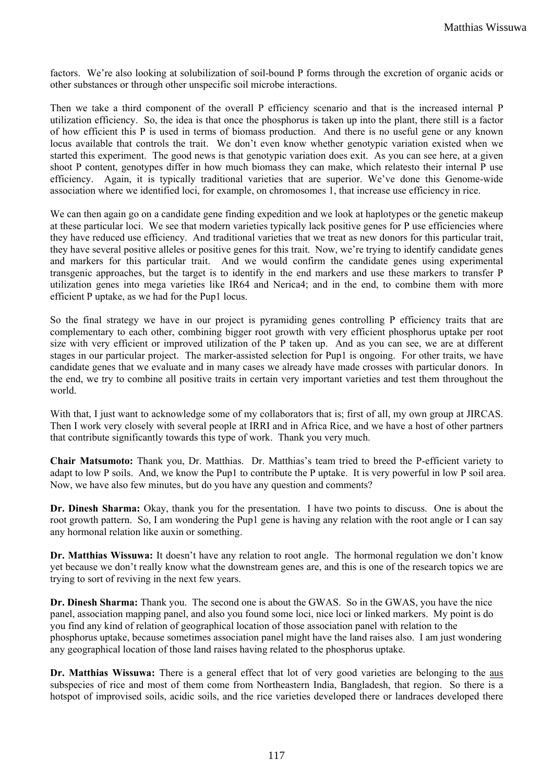factors. We're also looking at solubilization of soil-bound P forms through the excretion of organic acids or other substances or through other unspecific soil microbe interactions.

Then we take a third component of the overall P efficiency scenario and that is the increased internal P utilization efficiency. So, the idea is that once the phosphorus is taken up into the plant, there still is a factor of how efficient this P is used in terms of biomass production. And there is no useful gene or any known locus available that controls the trait. We don't even know whether genotypic variation existed when we started this experiment. The good news is that genotypic variation does exit. As you can see here, at a given shoot P content, genotypes differ in how much biomass they can make, which relatesto their internal P use efficiency. Again, it is typically traditional varieties that are superior. We've done this Genome-wide association where we identified loci, for example, on chromosomes 1, that increase use efficiency in rice.

We can then again go on a candidate gene finding expedition and we look at haplotypes or the genetic makeup at these particular loci. We see that modern varieties typically lack positive genes for P use efficiencies where they have reduced use efficiency. And traditional varieties that we treat as new donors for this particular trait, they have several positive alleles or positive genes for this trait. Now, we're trying to identify candidate genes and markers for this particular trait. And we would confirm the candidate genes using experimental transgenic approaches, but the target is to identify in the end markers and use these markers to transfer P utilization genes into mega varieties like IR64 and Nerica4; and in the end, to combine them with more efficient P uptake, as we had for the Pup1 locus.

So the final strategy we have in our project is pyramiding genes controlling P efficiency traits that are complementary to each other, combining bigger root growth with very efficient phosphorus uptake per root size with very efficient or improved utilization of the P taken up. And as you can see, we are at different stages in our particular project. The marker-assisted selection for Pup1 is ongoing. For other traits, we have candidate genes that we evaluate and in many cases we already have made crosses with particular donors. In the end, we try to combine all positive traits in certain very important varieties and test them throughout the world.

With that, I just want to acknowledge some of my collaborators that is; first of all, my own group at JIRCAS. Then I work very closely with several people at IRRI and in Africa Rice, and we have a host of other partners that contribute significantly towards this type of work. Thank you very much.

**Chair Matsumoto:** Thank you, Dr. Matthias. Dr. Matthias's team tried to breed the P-efficient variety to adapt to low P soils. And, we know the Pup1 to contribute the P uptake. It is very powerful in low P soil area. Now, we have also few minutes, but do you have any question and comments?

**Dr. Dinesh Sharma:** Okay, thank you for the presentation. I have two points to discuss. One is about the root growth pattern. So, I am wondering the Pup1 gene is having any relation with the root angle or I can say any hormonal relation like auxin or something.

**Dr. Matthias Wissuwa:** It doesn't have any relation to root angle. The hormonal regulation we don't know yet because we don't really know what the downstream genes are, and this is one of the research topics we are trying to sort of reviving in the next few years.

**Dr. Dinesh Sharma:** Thank you. The second one is about the GWAS. So in the GWAS, you have the nice panel, association mapping panel, and also you found some loci, nice loci or linked markers. My point is do you find any kind of relation of geographical location of those association panel with relation to the phosphorus uptake, because sometimes association panel might have the land raises also. I am just wondering any geographical location of those land raises having related to the phosphorus uptake.

Dr. Matthias Wissuwa: There is a general effect that lot of very good varieties are belonging to the aus subspecies of rice and most of them come from Northeastern India, Bangladesh, that region. So there is a hotspot of improvised soils, acidic soils, and the rice varieties developed there or landraces developed there